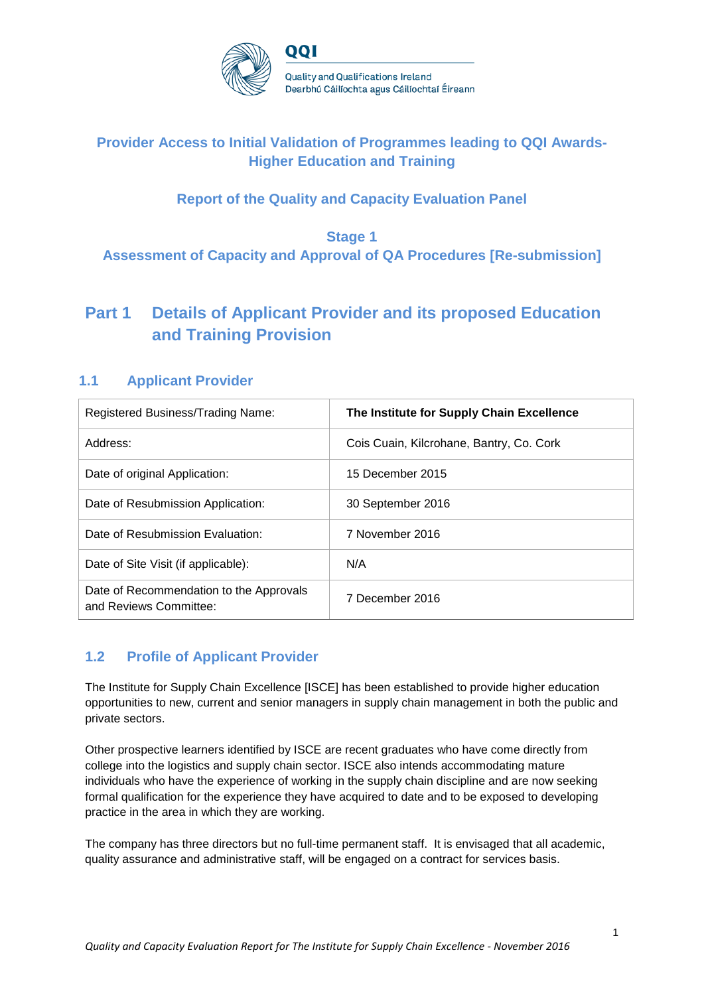

## **Provider Access to Initial Validation of Programmes leading to QQI Awards-Higher Education and Training**

## **Report of the Quality and Capacity Evaluation Panel**

## **Stage 1 Assessment of Capacity and Approval of QA Procedures [Re-submission]**

# **Part 1 Details of Applicant Provider and its proposed Education and Training Provision**

## **1.1 Applicant Provider**

| Registered Business/Trading Name:                                 | The Institute for Supply Chain Excellence |
|-------------------------------------------------------------------|-------------------------------------------|
| Address:                                                          | Cois Cuain, Kilcrohane, Bantry, Co. Cork  |
| Date of original Application:                                     | 15 December 2015                          |
| Date of Resubmission Application:                                 | 30 September 2016                         |
| Date of Resubmission Evaluation:                                  | 7 November 2016                           |
| Date of Site Visit (if applicable):                               | N/A                                       |
| Date of Recommendation to the Approvals<br>and Reviews Committee: | 7 December 2016                           |

## **1.2 Profile of Applicant Provider**

The Institute for Supply Chain Excellence [ISCE] has been established to provide higher education opportunities to new, current and senior managers in supply chain management in both the public and private sectors.

Other prospective learners identified by ISCE are recent graduates who have come directly from college into the logistics and supply chain sector. ISCE also intends accommodating mature individuals who have the experience of working in the supply chain discipline and are now seeking formal qualification for the experience they have acquired to date and to be exposed to developing practice in the area in which they are working.

The company has three directors but no full-time permanent staff. It is envisaged that all academic, quality assurance and administrative staff, will be engaged on a contract for services basis.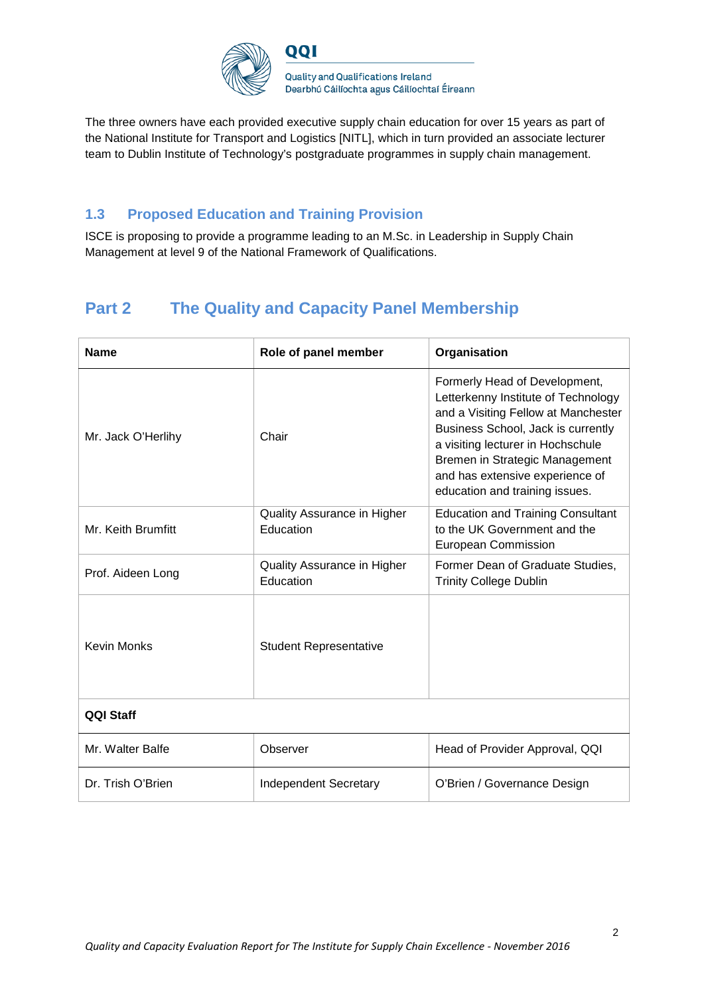

The three owners have each provided executive supply chain education for over 15 years as part of the National Institute for Transport and Logistics [NITL], which in turn provided an associate lecturer team to Dublin Institute of Technology's postgraduate programmes in supply chain management.

## **1.3 Proposed Education and Training Provision**

ISCE is proposing to provide a programme leading to an M.Sc. in Leadership in Supply Chain Management at level 9 of the National Framework of Qualifications.

# **Part 2 The Quality and Capacity Panel Membership**

| <b>Name</b>                                         | Role of panel member                     | Organisation                                                                                                                                                                                                                                                                                  |  |
|-----------------------------------------------------|------------------------------------------|-----------------------------------------------------------------------------------------------------------------------------------------------------------------------------------------------------------------------------------------------------------------------------------------------|--|
| Mr. Jack O'Herlihy                                  | Chair                                    | Formerly Head of Development,<br>Letterkenny Institute of Technology<br>and a Visiting Fellow at Manchester<br>Business School, Jack is currently<br>a visiting lecturer in Hochschule<br>Bremen in Strategic Management<br>and has extensive experience of<br>education and training issues. |  |
| Mr. Keith Brumfitt                                  | Quality Assurance in Higher<br>Education | <b>Education and Training Consultant</b><br>to the UK Government and the<br>European Commission                                                                                                                                                                                               |  |
| Prof. Aideen Long                                   | Quality Assurance in Higher<br>Education | Former Dean of Graduate Studies,<br><b>Trinity College Dublin</b>                                                                                                                                                                                                                             |  |
| <b>Kevin Monks</b><br><b>Student Representative</b> |                                          |                                                                                                                                                                                                                                                                                               |  |
| <b>QQI Staff</b>                                    |                                          |                                                                                                                                                                                                                                                                                               |  |
| Mr. Walter Balfe                                    | Observer                                 | Head of Provider Approval, QQI                                                                                                                                                                                                                                                                |  |
| Dr. Trish O'Brien                                   | <b>Independent Secretary</b>             | O'Brien / Governance Design                                                                                                                                                                                                                                                                   |  |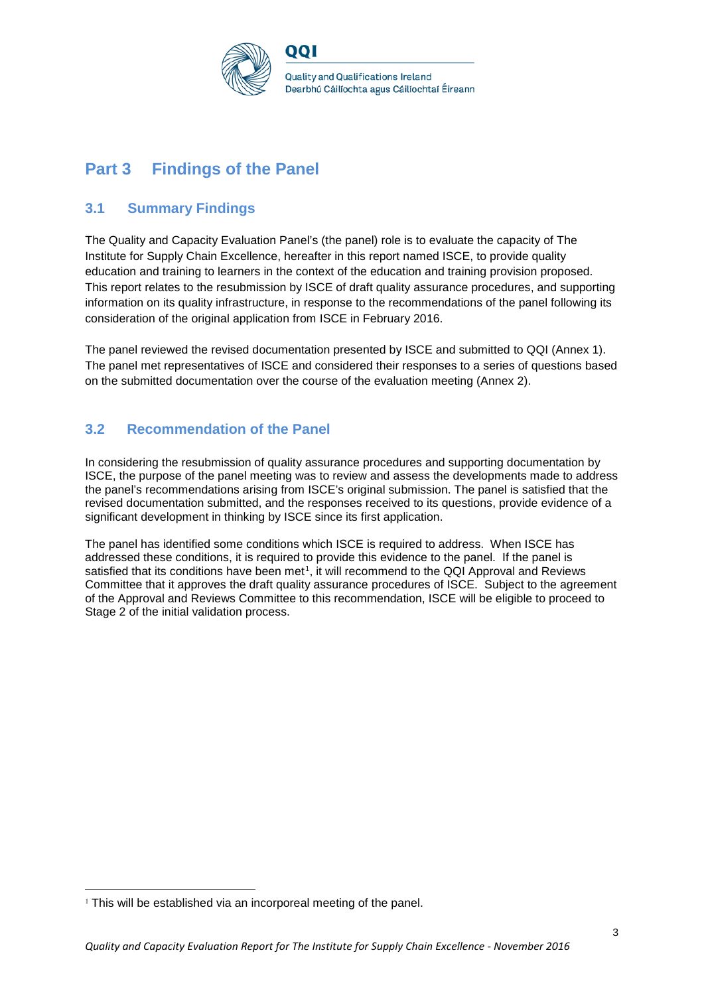

# **Part 3 Findings of the Panel**

## **3.1 Summary Findings**

The Quality and Capacity Evaluation Panel's (the panel) role is to evaluate the capacity of The Institute for Supply Chain Excellence, hereafter in this report named ISCE, to provide quality education and training to learners in the context of the education and training provision proposed. This report relates to the resubmission by ISCE of draft quality assurance procedures, and supporting information on its quality infrastructure, in response to the recommendations of the panel following its consideration of the original application from ISCE in February 2016.

The panel reviewed the revised documentation presented by ISCE and submitted to QQI (Annex 1). The panel met representatives of ISCE and considered their responses to a series of questions based on the submitted documentation over the course of the evaluation meeting (Annex 2).

## **3.2 Recommendation of the Panel**

In considering the resubmission of quality assurance procedures and supporting documentation by ISCE, the purpose of the panel meeting was to review and assess the developments made to address the panel's recommendations arising from ISCE's original submission. The panel is satisfied that the revised documentation submitted, and the responses received to its questions, provide evidence of a significant development in thinking by ISCE since its first application.

The panel has identified some conditions which ISCE is required to address. When ISCE has addressed these conditions, it is required to provide this evidence to the panel. If the panel is satisfied that its conditions have been met<sup>1</sup>, it will recommend to the QQI Approval and Reviews Committee that it approves the draft quality assurance procedures of ISCE. Subject to the agreement of the Approval and Reviews Committee to this recommendation, ISCE will be eligible to proceed to Stage 2 of the initial validation process.

<span id="page-2-0"></span><sup>&</sup>lt;sup>1</sup> This will be established via an incorporeal meeting of the panel.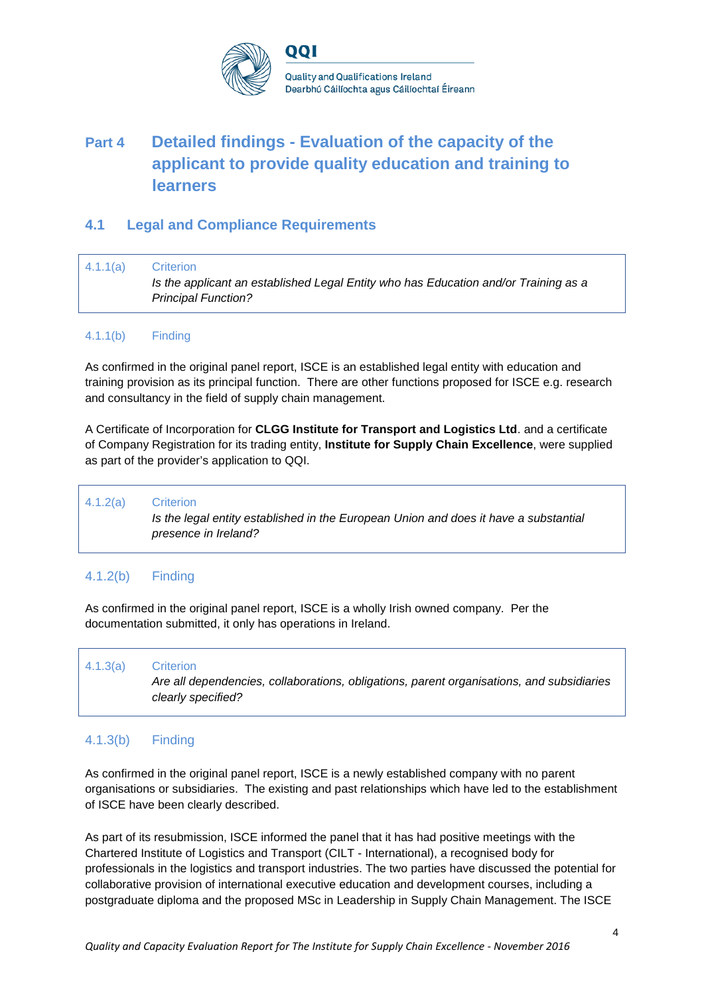

# **Part 4 Detailed findings - Evaluation of the capacity of the applicant to provide quality education and training to learners**

## **4.1 Legal and Compliance Requirements**

4.1.1(a) Criterion *Is the applicant an established Legal Entity who has Education and/or Training as a Principal Function?*

#### 4.1.1(b) Finding

As confirmed in the original panel report, ISCE is an established legal entity with education and training provision as its principal function. There are other functions proposed for ISCE e.g. research and consultancy in the field of supply chain management.

A Certificate of Incorporation for **CLGG Institute for Transport and Logistics Ltd**. and a certificate of Company Registration for its trading entity, **Institute for Supply Chain Excellence**, were supplied as part of the provider's application to QQI.

4.1.2(a) Criterion *Is the legal entity established in the European Union and does it have a substantial presence in Ireland?*

### 4.1.2(b) Finding

As confirmed in the original panel report, ISCE is a wholly Irish owned company. Per the documentation submitted, it only has operations in Ireland.

#### 4.1.3(a) Criterion

*Are all dependencies, collaborations, obligations, parent organisations, and subsidiaries clearly specified?*

### 4.1.3(b) Finding

As confirmed in the original panel report, ISCE is a newly established company with no parent organisations or subsidiaries. The existing and past relationships which have led to the establishment of ISCE have been clearly described.

As part of its resubmission, ISCE informed the panel that it has had positive meetings with the Chartered Institute of Logistics and Transport (CILT - International), a recognised body for professionals in the logistics and transport industries. The two parties have discussed the potential for collaborative provision of international executive education and development courses, including a postgraduate diploma and the proposed MSc in Leadership in Supply Chain Management. The ISCE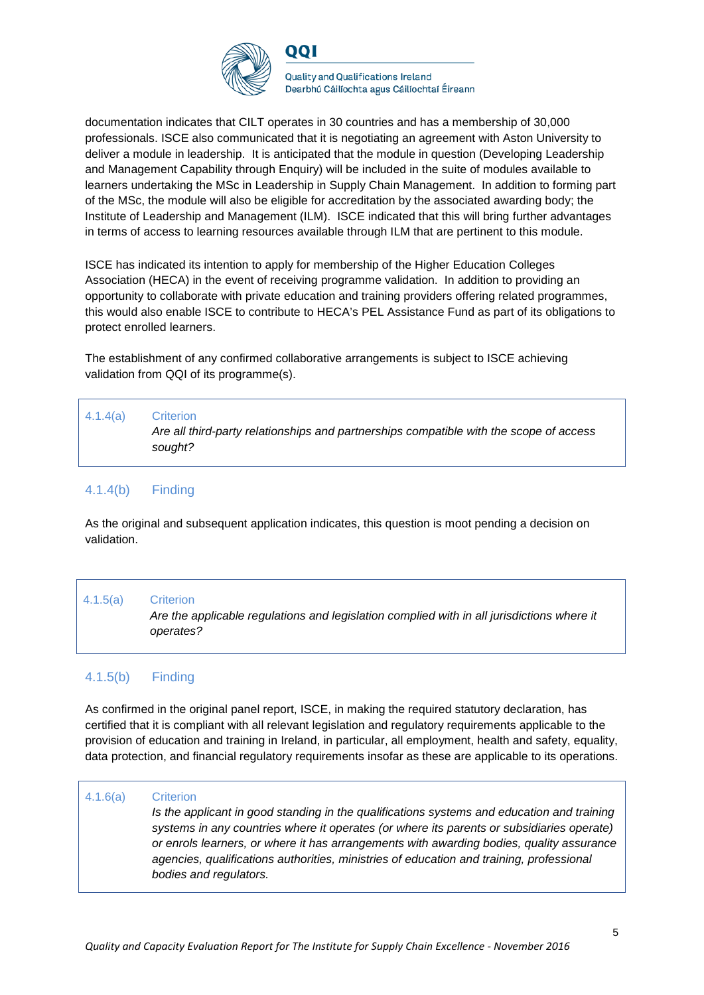

documentation indicates that CILT operates in 30 countries and has a membership of 30,000 professionals. ISCE also communicated that it is negotiating an agreement with Aston University to deliver a module in leadership. It is anticipated that the module in question (Developing Leadership and Management Capability through Enquiry) will be included in the suite of modules available to learners undertaking the MSc in Leadership in Supply Chain Management. In addition to forming part of the MSc, the module will also be eligible for accreditation by the associated awarding body; the Institute of Leadership and Management (ILM). ISCE indicated that this will bring further advantages in terms of access to learning resources available through ILM that are pertinent to this module.

ISCE has indicated its intention to apply for membership of the Higher Education Colleges Association (HECA) in the event of receiving programme validation. In addition to providing an opportunity to collaborate with private education and training providers offering related programmes, this would also enable ISCE to contribute to HECA's PEL Assistance Fund as part of its obligations to protect enrolled learners.

The establishment of any confirmed collaborative arrangements is subject to ISCE achieving validation from QQI of its programme(s).

| 4.1.4(a) | <b>Criterion</b><br>Are all third-party relationships and partnerships compatible with the scope of access<br>sought? |
|----------|-----------------------------------------------------------------------------------------------------------------------|
|          |                                                                                                                       |

## 4.1.4(b) Finding

As the original and subsequent application indicates, this question is moot pending a decision on validation.

### 4.1.5(a) Criterion

*Are the applicable regulations and legislation complied with in all jurisdictions where it operates?*

### 4.1.5(b) Finding

As confirmed in the original panel report, ISCE, in making the required statutory declaration, has certified that it is compliant with all relevant legislation and regulatory requirements applicable to the provision of education and training in Ireland, in particular, all employment, health and safety, equality, data protection, and financial regulatory requirements insofar as these are applicable to its operations.

#### 4.1.6(a) Criterion

*Is the applicant in good standing in the qualifications systems and education and training systems in any countries where it operates (or where its parents or subsidiaries operate) or enrols learners, or where it has arrangements with awarding bodies, quality assurance agencies, qualifications authorities, ministries of education and training, professional bodies and regulators.*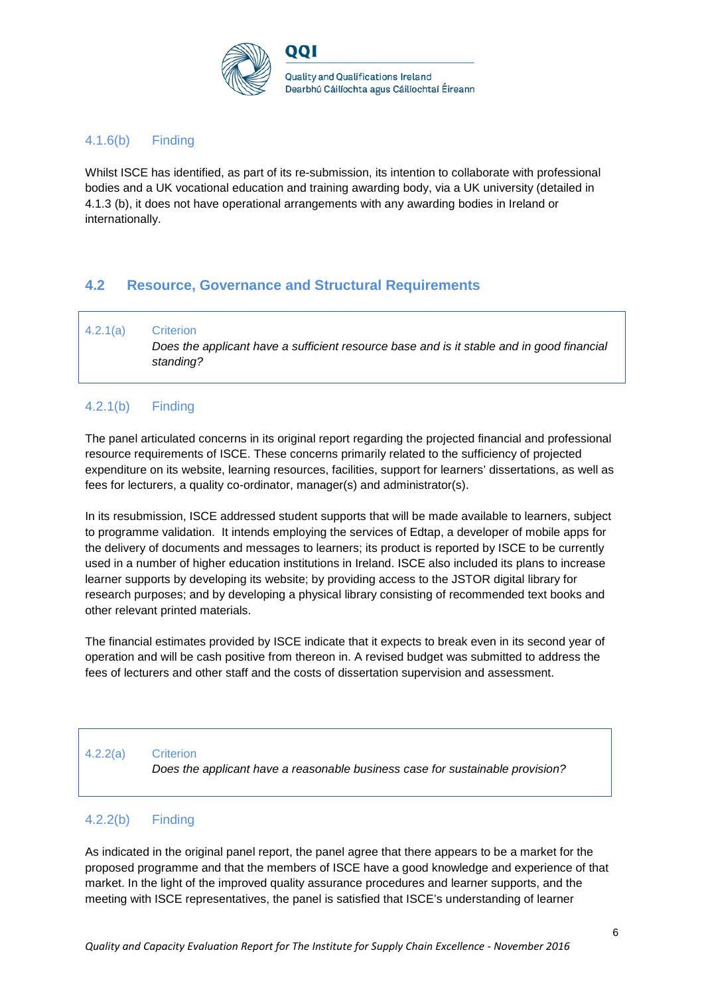

### 4.1.6(b) Finding

Whilst ISCE has identified, as part of its re-submission, its intention to collaborate with professional bodies and a UK vocational education and training awarding body, via a UK university (detailed in 4.1.3 (b), it does not have operational arrangements with any awarding bodies in Ireland or internationally.

## **4.2 Resource, Governance and Structural Requirements**

4.2.1(a) Criterion *Does the applicant have a sufficient resource base and is it stable and in good financial standing?*

### 4.2.1(b) Finding

The panel articulated concerns in its original report regarding the projected financial and professional resource requirements of ISCE. These concerns primarily related to the sufficiency of projected expenditure on its website, learning resources, facilities, support for learners' dissertations, as well as fees for lecturers, a quality co-ordinator, manager(s) and administrator(s).

In its resubmission, ISCE addressed student supports that will be made available to learners, subject to programme validation. It intends employing the services of Edtap, a developer of mobile apps for the delivery of documents and messages to learners; its product is reported by ISCE to be currently used in a number of higher education institutions in Ireland. ISCE also included its plans to increase learner supports by developing its website; by providing access to the JSTOR digital library for research purposes; and by developing a physical library consisting of recommended text books and other relevant printed materials.

The financial estimates provided by ISCE indicate that it expects to break even in its second year of operation and will be cash positive from thereon in. A revised budget was submitted to address the fees of lecturers and other staff and the costs of dissertation supervision and assessment.

#### 4.2.2(a) Criterion

*Does the applicant have a reasonable business case for sustainable provision?*

#### 4.2.2(b) Finding

As indicated in the original panel report, the panel agree that there appears to be a market for the proposed programme and that the members of ISCE have a good knowledge and experience of that market. In the light of the improved quality assurance procedures and learner supports, and the meeting with ISCE representatives, the panel is satisfied that ISCE's understanding of learner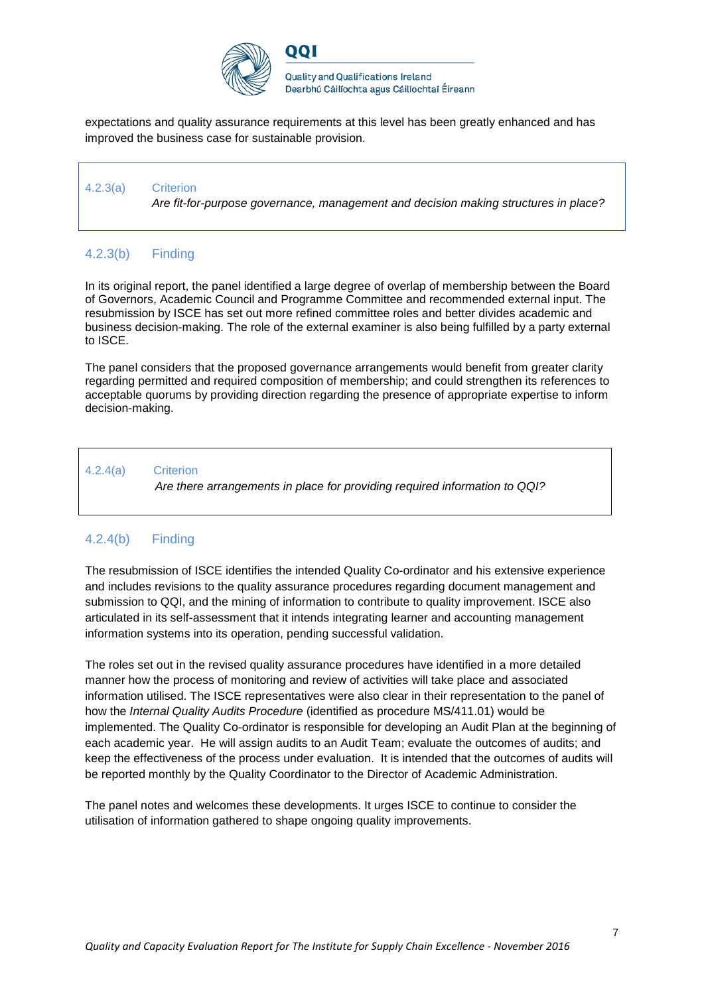

**Quality and Qualifications Ireland** Dearbhú Cáilíochta agus Cáilíochtaí Éireann

expectations and quality assurance requirements at this level has been greatly enhanced and has improved the business case for sustainable provision.

וחח

4.2.3(a) Criterion *Are fit-for-purpose governance, management and decision making structures in place?*

## 4.2.3(b) Finding

In its original report, the panel identified a large degree of overlap of membership between the Board of Governors, Academic Council and Programme Committee and recommended external input. The resubmission by ISCE has set out more refined committee roles and better divides academic and business decision-making. The role of the external examiner is also being fulfilled by a party external to ISCE.

The panel considers that the proposed governance arrangements would benefit from greater clarity regarding permitted and required composition of membership; and could strengthen its references to acceptable quorums by providing direction regarding the presence of appropriate expertise to inform decision-making.

#### 4.2.4(a) Criterion

*Are there arrangements in place for providing required information to QQI?*

## 4.2.4(b) Finding

The resubmission of ISCE identifies the intended Quality Co-ordinator and his extensive experience and includes revisions to the quality assurance procedures regarding document management and submission to QQI, and the mining of information to contribute to quality improvement. ISCE also articulated in its self-assessment that it intends integrating learner and accounting management information systems into its operation, pending successful validation.

The roles set out in the revised quality assurance procedures have identified in a more detailed manner how the process of monitoring and review of activities will take place and associated information utilised. The ISCE representatives were also clear in their representation to the panel of how the *Internal Quality Audits Procedure* (identified as procedure MS/411.01) would be implemented. The Quality Co-ordinator is responsible for developing an Audit Plan at the beginning of each academic year. He will assign audits to an Audit Team; evaluate the outcomes of audits; and keep the effectiveness of the process under evaluation. It is intended that the outcomes of audits will be reported monthly by the Quality Coordinator to the Director of Academic Administration.

The panel notes and welcomes these developments. It urges ISCE to continue to consider the utilisation of information gathered to shape ongoing quality improvements.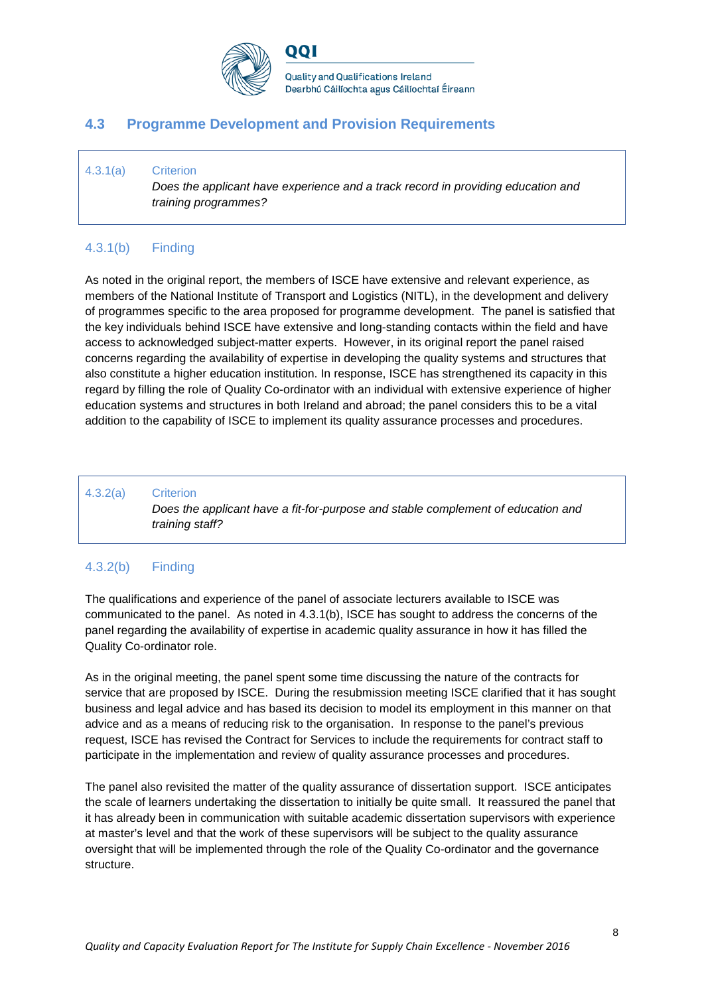

**Quality and Qualifications Ireland** Dearbhú Cáilíochta agus Cáilíochtaí Éireann

## **4.3 Programme Development and Provision Requirements**

וחח

#### 4.3.1(a) Criterion

*Does the applicant have experience and a track record in providing education and training programmes?*

## 4.3.1(b) Finding

As noted in the original report, the members of ISCE have extensive and relevant experience, as members of the National Institute of Transport and Logistics (NITL), in the development and delivery of programmes specific to the area proposed for programme development. The panel is satisfied that the key individuals behind ISCE have extensive and long-standing contacts within the field and have access to acknowledged subject-matter experts. However, in its original report the panel raised concerns regarding the availability of expertise in developing the quality systems and structures that also constitute a higher education institution. In response, ISCE has strengthened its capacity in this regard by filling the role of Quality Co-ordinator with an individual with extensive experience of higher education systems and structures in both Ireland and abroad; the panel considers this to be a vital addition to the capability of ISCE to implement its quality assurance processes and procedures.

#### 4.3.2(a) Criterion

*Does the applicant have a fit-for-purpose and stable complement of education and training staff?*

### 4.3.2(b) Finding

The qualifications and experience of the panel of associate lecturers available to ISCE was communicated to the panel. As noted in 4.3.1(b), ISCE has sought to address the concerns of the panel regarding the availability of expertise in academic quality assurance in how it has filled the Quality Co-ordinator role.

As in the original meeting, the panel spent some time discussing the nature of the contracts for service that are proposed by ISCE. During the resubmission meeting ISCE clarified that it has sought business and legal advice and has based its decision to model its employment in this manner on that advice and as a means of reducing risk to the organisation. In response to the panel's previous request, ISCE has revised the Contract for Services to include the requirements for contract staff to participate in the implementation and review of quality assurance processes and procedures.

The panel also revisited the matter of the quality assurance of dissertation support. ISCE anticipates the scale of learners undertaking the dissertation to initially be quite small. It reassured the panel that it has already been in communication with suitable academic dissertation supervisors with experience at master's level and that the work of these supervisors will be subject to the quality assurance oversight that will be implemented through the role of the Quality Co-ordinator and the governance structure.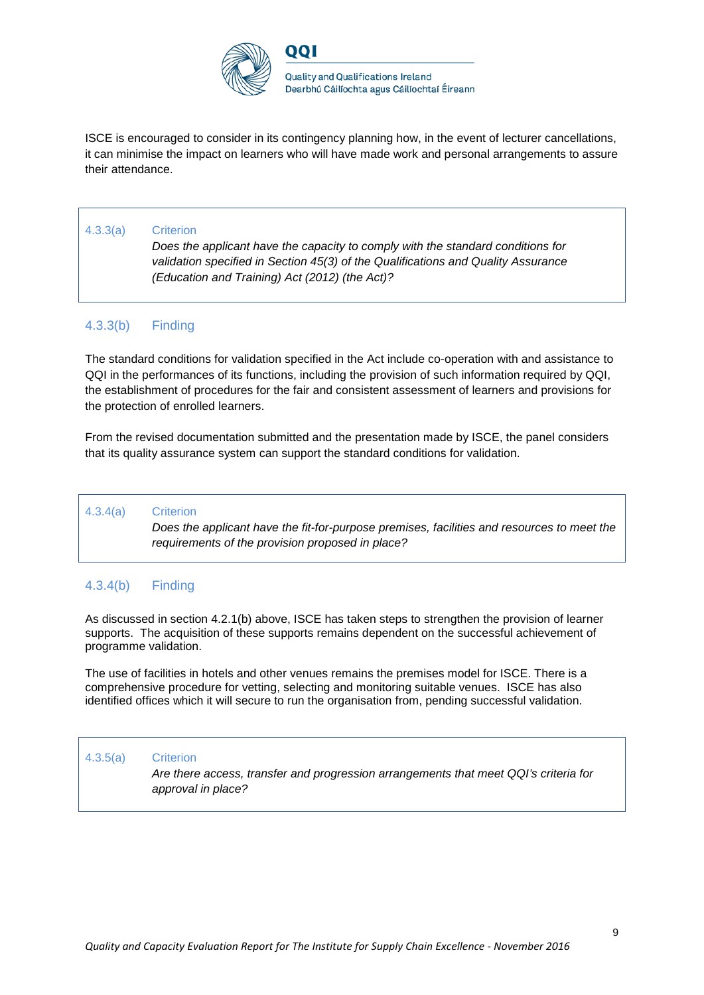

ISCE is encouraged to consider in its contingency planning how, in the event of lecturer cancellations, it can minimise the impact on learners who will have made work and personal arrangements to assure their attendance.

#### 4.3.3(a) Criterion

*Does the applicant have the capacity to comply with the standard conditions for validation specified in Section 45(3) of the Qualifications and Quality Assurance (Education and Training) Act (2012) (the Act)?*

#### 4.3.3(b) Finding

The standard conditions for validation specified in the Act include co-operation with and assistance to QQI in the performances of its functions, including the provision of such information required by QQI, the establishment of procedures for the fair and consistent assessment of learners and provisions for the protection of enrolled learners.

From the revised documentation submitted and the presentation made by ISCE, the panel considers that its quality assurance system can support the standard conditions for validation.

#### 4.3.4(a) Criterion

*Does the applicant have the fit-for-purpose premises, facilities and resources to meet the requirements of the provision proposed in place?*

#### 4.3.4(b) Finding

As discussed in section 4.2.1(b) above, ISCE has taken steps to strengthen the provision of learner supports. The acquisition of these supports remains dependent on the successful achievement of programme validation.

The use of facilities in hotels and other venues remains the premises model for ISCE. There is a comprehensive procedure for vetting, selecting and monitoring suitable venues. ISCE has also identified offices which it will secure to run the organisation from, pending successful validation.

#### 4.3.5(a) Criterion

*Are there access, transfer and progression arrangements that meet QQI's criteria for approval in place?*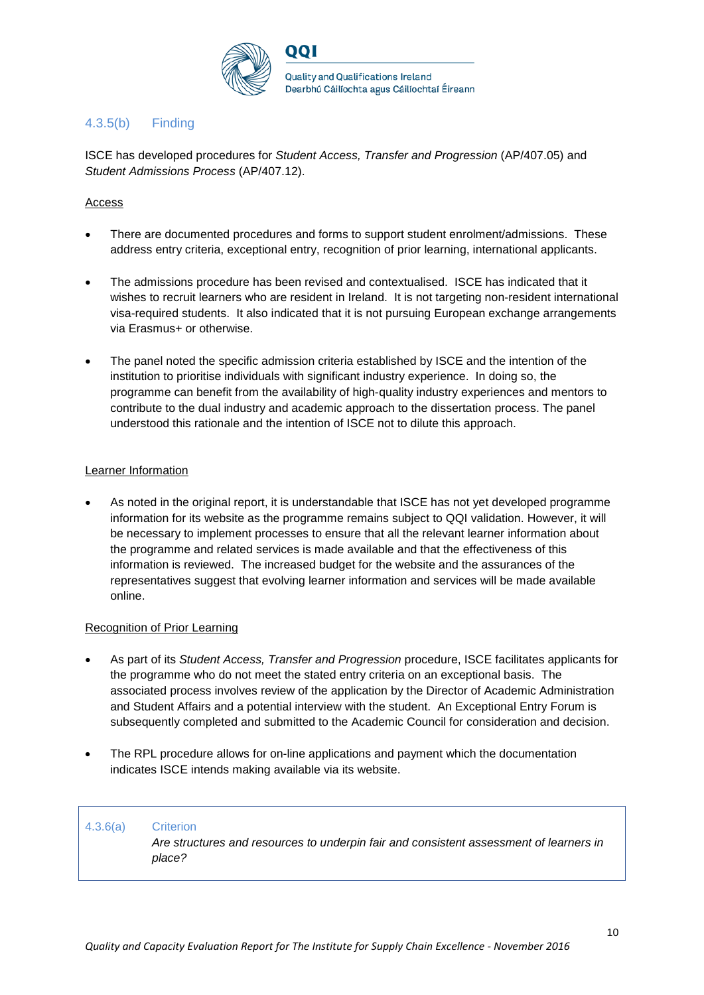

## 4.3.5(b) Finding

ISCE has developed procedures for *Student Access, Transfer and Progression* (AP/407.05) and *Student Admissions Process* (AP/407.12).

#### Access

- There are documented procedures and forms to support student enrolment/admissions. These address entry criteria, exceptional entry, recognition of prior learning, international applicants.
- The admissions procedure has been revised and contextualised. ISCE has indicated that it wishes to recruit learners who are resident in Ireland. It is not targeting non-resident international visa-required students. It also indicated that it is not pursuing European exchange arrangements via Erasmus+ or otherwise.
- The panel noted the specific admission criteria established by ISCE and the intention of the institution to prioritise individuals with significant industry experience. In doing so, the programme can benefit from the availability of high-quality industry experiences and mentors to contribute to the dual industry and academic approach to the dissertation process. The panel understood this rationale and the intention of ISCE not to dilute this approach.

#### Learner Information

• As noted in the original report, it is understandable that ISCE has not yet developed programme information for its website as the programme remains subject to QQI validation. However, it will be necessary to implement processes to ensure that all the relevant learner information about the programme and related services is made available and that the effectiveness of this information is reviewed. The increased budget for the website and the assurances of the representatives suggest that evolving learner information and services will be made available online.

#### Recognition of Prior Learning

- As part of its *Student Access, Transfer and Progression* procedure, ISCE facilitates applicants for the programme who do not meet the stated entry criteria on an exceptional basis. The associated process involves review of the application by the Director of Academic Administration and Student Affairs and a potential interview with the student. An Exceptional Entry Forum is subsequently completed and submitted to the Academic Council for consideration and decision.
- The RPL procedure allows for on-line applications and payment which the documentation indicates ISCE intends making available via its website.

#### 4.3.6(a) Criterion

*Are structures and resources to underpin fair and consistent assessment of learners in place?*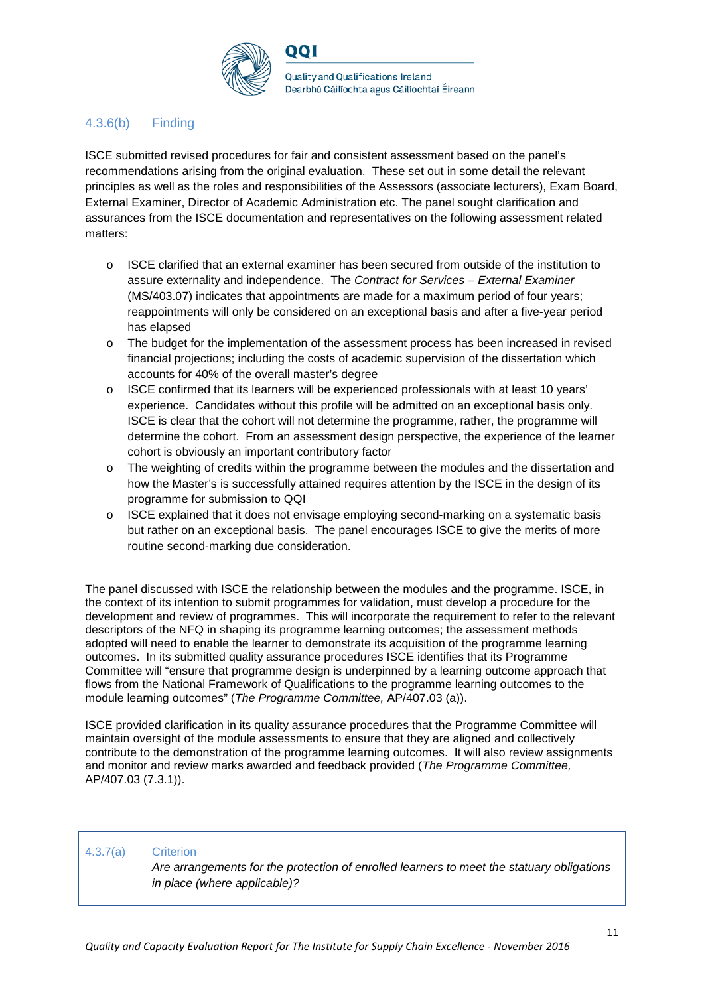

## 4.3.6(b) Finding

ISCE submitted revised procedures for fair and consistent assessment based on the panel's recommendations arising from the original evaluation. These set out in some detail the relevant principles as well as the roles and responsibilities of the Assessors (associate lecturers), Exam Board, External Examiner, Director of Academic Administration etc. The panel sought clarification and assurances from the ISCE documentation and representatives on the following assessment related matters:

- o ISCE clarified that an external examiner has been secured from outside of the institution to assure externality and independence. The *Contract for Services – External Examiner* (MS/403.07) indicates that appointments are made for a maximum period of four years; reappointments will only be considered on an exceptional basis and after a five-year period has elapsed
- o The budget for the implementation of the assessment process has been increased in revised financial projections; including the costs of academic supervision of the dissertation which accounts for 40% of the overall master's degree
- $\circ$  ISCE confirmed that its learners will be experienced professionals with at least 10 years' experience. Candidates without this profile will be admitted on an exceptional basis only. ISCE is clear that the cohort will not determine the programme, rather, the programme will determine the cohort. From an assessment design perspective, the experience of the learner cohort is obviously an important contributory factor
- o The weighting of credits within the programme between the modules and the dissertation and how the Master's is successfully attained requires attention by the ISCE in the design of its programme for submission to QQI
- $\circ$  ISCE explained that it does not envisage employing second-marking on a systematic basis but rather on an exceptional basis. The panel encourages ISCE to give the merits of more routine second-marking due consideration.

The panel discussed with ISCE the relationship between the modules and the programme. ISCE, in the context of its intention to submit programmes for validation, must develop a procedure for the development and review of programmes. This will incorporate the requirement to refer to the relevant descriptors of the NFQ in shaping its programme learning outcomes; the assessment methods adopted will need to enable the learner to demonstrate its acquisition of the programme learning outcomes. In its submitted quality assurance procedures ISCE identifies that its Programme Committee will "ensure that programme design is underpinned by a learning outcome approach that flows from the National Framework of Qualifications to the programme learning outcomes to the module learning outcomes" (*The Programme Committee,* AP/407.03 (a)).

ISCE provided clarification in its quality assurance procedures that the Programme Committee will maintain oversight of the module assessments to ensure that they are aligned and collectively contribute to the demonstration of the programme learning outcomes. It will also review assignments and monitor and review marks awarded and feedback provided (*The Programme Committee,*  AP/407.03 (7.3.1)).

#### 4.3.7(a) Criterion

*Are arrangements for the protection of enrolled learners to meet the statuary obligations in place (where applicable)?*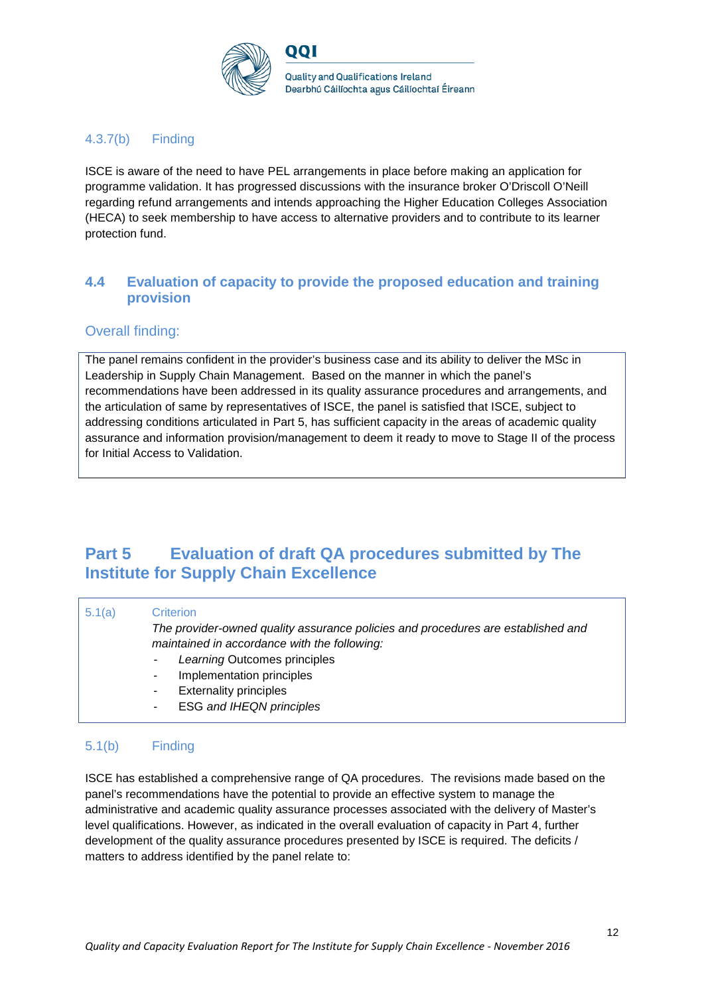

## 4.3.7(b) Finding

ISCE is aware of the need to have PEL arrangements in place before making an application for programme validation. It has progressed discussions with the insurance broker O'Driscoll O'Neill regarding refund arrangements and intends approaching the Higher Education Colleges Association (HECA) to seek membership to have access to alternative providers and to contribute to its learner protection fund.

## **4.4 Evaluation of capacity to provide the proposed education and training provision**

### Overall finding:

The panel remains confident in the provider's business case and its ability to deliver the MSc in Leadership in Supply Chain Management. Based on the manner in which the panel's recommendations have been addressed in its quality assurance procedures and arrangements, and the articulation of same by representatives of ISCE, the panel is satisfied that ISCE, subject to addressing conditions articulated in Part 5, has sufficient capacity in the areas of academic quality assurance and information provision/management to deem it ready to move to Stage II of the process for Initial Access to Validation.

# **Part 5 Evaluation of draft QA procedures submitted by The Institute for Supply Chain Excellence**

| 5.1(a) | Criterion                                                                        |
|--------|----------------------------------------------------------------------------------|
|        | The provider-owned quality assurance policies and procedures are established and |
|        | maintained in accordance with the following:                                     |
|        | Learning Outcomes principles<br>$\sim 10$                                        |
|        | Implementation principles<br>$\blacksquare$                                      |
|        | <b>Externality principles</b><br>۰                                               |
|        | <b>ESG and IHEQN principles</b><br>۰                                             |
|        |                                                                                  |

## 5.1(b) Finding

ISCE has established a comprehensive range of QA procedures. The revisions made based on the panel's recommendations have the potential to provide an effective system to manage the administrative and academic quality assurance processes associated with the delivery of Master's level qualifications. However, as indicated in the overall evaluation of capacity in Part 4, further development of the quality assurance procedures presented by ISCE is required. The deficits / matters to address identified by the panel relate to: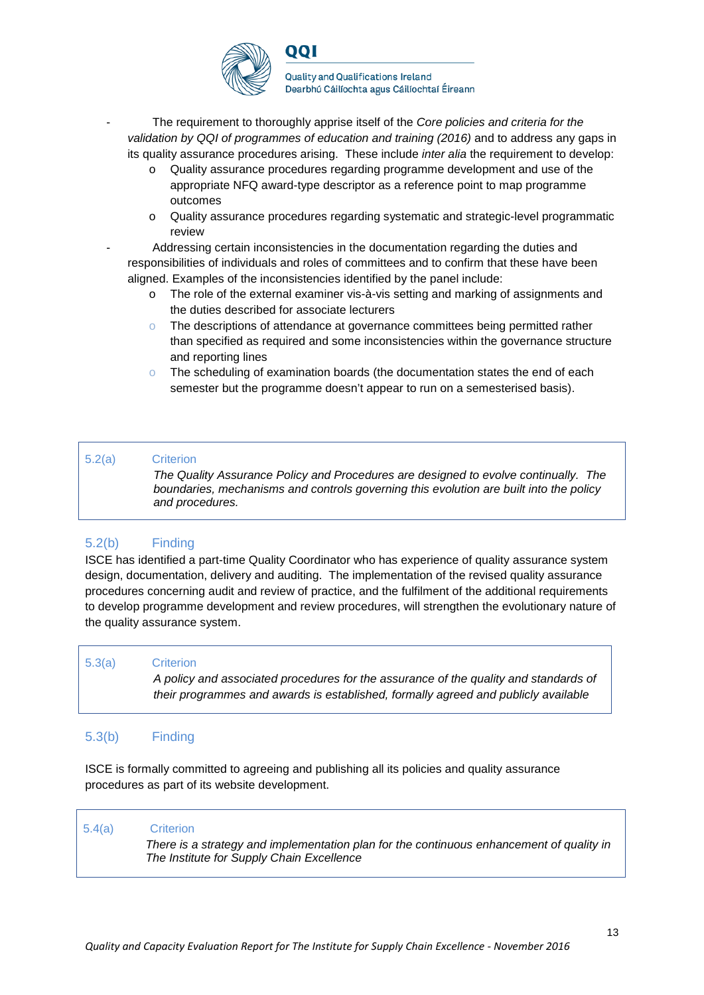

**Quality and Qualifications Ireland** Dearbhú Cáilíochta agus Cáilíochtaí Éireann

- The requirement to thoroughly apprise itself of the *Core policies and criteria for the validation by QQI of programmes of education and training (2016)* and to address any gaps in its quality assurance procedures arising. These include *inter alia* the requirement to develop:
	- Quality assurance procedures regarding programme development and use of the appropriate NFQ award-type descriptor as a reference point to map programme outcomes
	- o Quality assurance procedures regarding systematic and strategic-level programmatic review
	- Addressing certain inconsistencies in the documentation regarding the duties and responsibilities of individuals and roles of committees and to confirm that these have been aligned. Examples of the inconsistencies identified by the panel include:
		- o The role of the external examiner vis-à-vis setting and marking of assignments and the duties described for associate lecturers
		- o The descriptions of attendance at governance committees being permitted rather than specified as required and some inconsistencies within the governance structure and reporting lines
		- $\circ$  The scheduling of examination boards (the documentation states the end of each semester but the programme doesn't appear to run on a semesterised basis).

#### 5.2(a) Criterion

*The Quality Assurance Policy and Procedures are designed to evolve continually. The boundaries, mechanisms and controls governing this evolution are built into the policy and procedures.*

### 5.2(b) Finding

ISCE has identified a part-time Quality Coordinator who has experience of quality assurance system design, documentation, delivery and auditing. The implementation of the revised quality assurance procedures concerning audit and review of practice, and the fulfilment of the additional requirements to develop programme development and review procedures, will strengthen the evolutionary nature of the quality assurance system.

#### 5.3(a) Criterion

*A policy and associated procedures for the assurance of the quality and standards of their programmes and awards is established, formally agreed and publicly available*

### 5.3(b) Finding

ISCE is formally committed to agreeing and publishing all its policies and quality assurance procedures as part of its website development.

5.4(a) Criterion

*There is a strategy and implementation plan for the continuous enhancement of quality in The Institute for Supply Chain Excellence*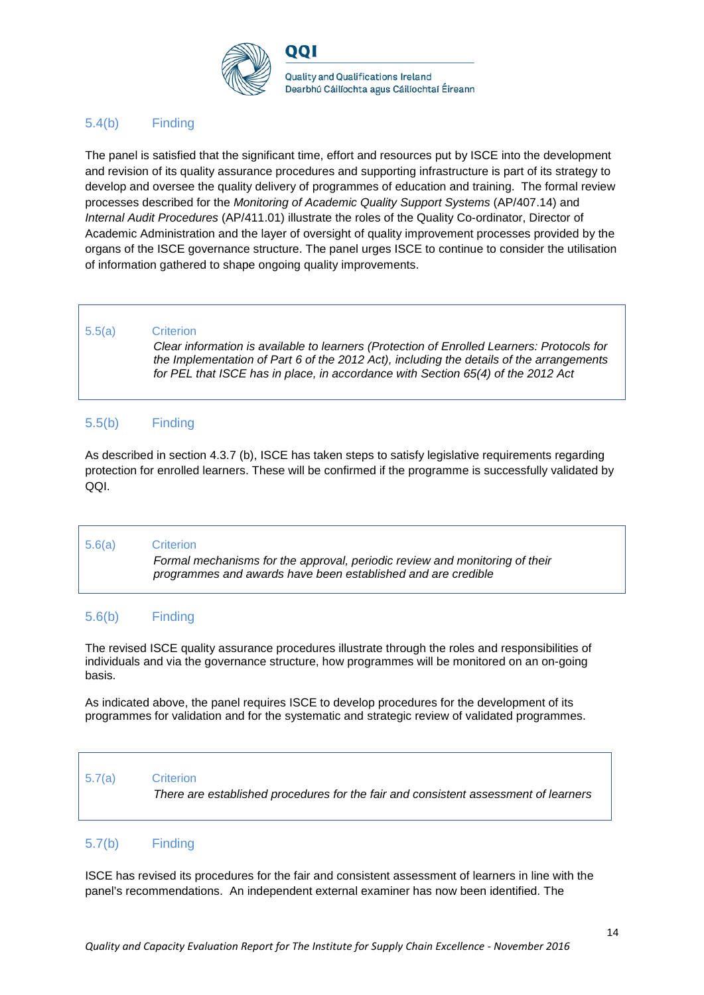

## 5.4(b) Finding

The panel is satisfied that the significant time, effort and resources put by ISCE into the development and revision of its quality assurance procedures and supporting infrastructure is part of its strategy to develop and oversee the quality delivery of programmes of education and training. The formal review processes described for the *Monitoring of Academic Quality Support Systems* (AP/407.14) and *Internal Audit Procedures* (AP/411.01) illustrate the roles of the Quality Co-ordinator, Director of Academic Administration and the layer of oversight of quality improvement processes provided by the organs of the ISCE governance structure. The panel urges ISCE to continue to consider the utilisation of information gathered to shape ongoing quality improvements.

#### 5.5(a) Criterion

*Clear information is available to learners (Protection of Enrolled Learners: Protocols for the Implementation of Part 6 of the 2012 Act), including the details of the arrangements for PEL that ISCE has in place, in accordance with Section 65(4) of the 2012 Act*

### 5.5(b) Finding

As described in section 4.3.7 (b), ISCE has taken steps to satisfy legislative requirements regarding protection for enrolled learners. These will be confirmed if the programme is successfully validated by QQI.

#### 5.6(a) Criterion

*Formal mechanisms for the approval, periodic review and monitoring of their programmes and awards have been established and are credible*

#### 5.6(b) Finding

The revised ISCE quality assurance procedures illustrate through the roles and responsibilities of individuals and via the governance structure, how programmes will be monitored on an on-going basis.

As indicated above, the panel requires ISCE to develop procedures for the development of its programmes for validation and for the systematic and strategic review of validated programmes.

### 5.7(a) Criterion

*There are established procedures for the fair and consistent assessment of learners*

### 5.7(b) Finding

ISCE has revised its procedures for the fair and consistent assessment of learners in line with the panel's recommendations. An independent external examiner has now been identified. The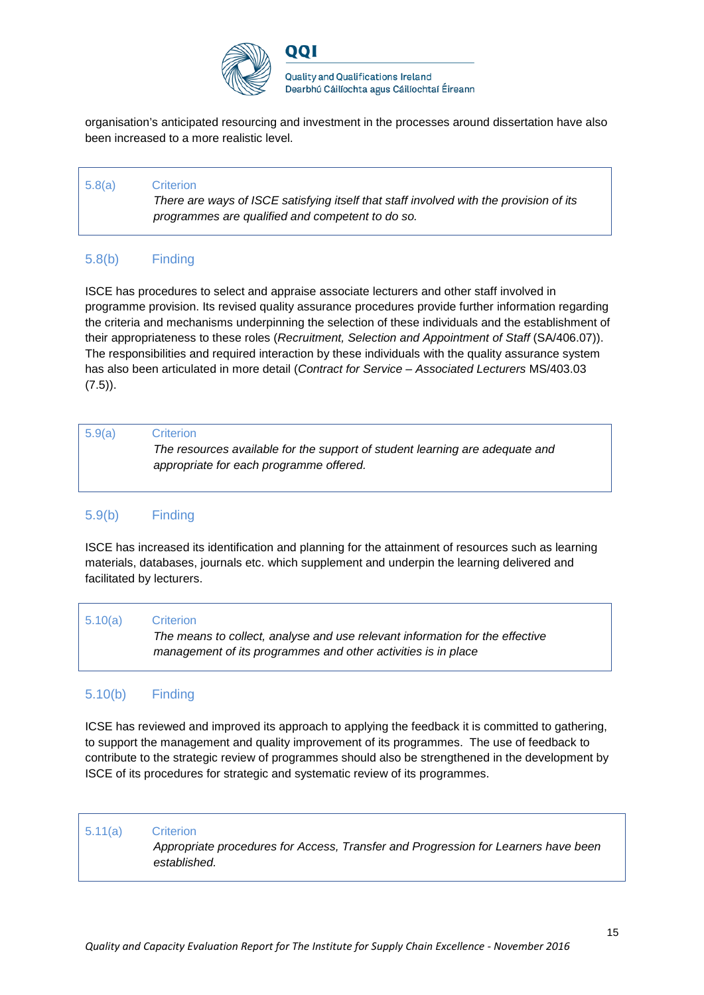

וחח

**Quality and Qualifications Ireland** Dearbhú Cáilíochta agus Cáilíochtaí Éireann

organisation's anticipated resourcing and investment in the processes around dissertation have also been increased to a more realistic level.

## 5.8(a) Criterion *There are ways of ISCE satisfying itself that staff involved with the provision of its programmes are qualified and competent to do so.*

## 5.8(b) Finding

ISCE has procedures to select and appraise associate lecturers and other staff involved in programme provision. Its revised quality assurance procedures provide further information regarding the criteria and mechanisms underpinning the selection of these individuals and the establishment of their appropriateness to these roles (*Recruitment, Selection and Appointment of Staff* (SA/406.07)). The responsibilities and required interaction by these individuals with the quality assurance system has also been articulated in more detail (*Contract for Service – Associated Lecturers* MS/403.03  $(7.5)$ ).

| 5.9(a)                                  | <b>Criterion</b>                                                             |
|-----------------------------------------|------------------------------------------------------------------------------|
| appropriate for each programme offered. | The resources available for the support of student learning are adequate and |
|                                         |                                                                              |
|                                         |                                                                              |

## 5.9(b) Finding

ISCE has increased its identification and planning for the attainment of resources such as learning materials, databases, journals etc. which supplement and underpin the learning delivered and facilitated by lecturers.

| 5.10(a)<br><b>Criterion</b><br>The means to collect, analyse and use relevant information for the effective<br>management of its programmes and other activities is in place |  |  |
|------------------------------------------------------------------------------------------------------------------------------------------------------------------------------|--|--|
|------------------------------------------------------------------------------------------------------------------------------------------------------------------------------|--|--|

## 5.10(b) Finding

ICSE has reviewed and improved its approach to applying the feedback it is committed to gathering, to support the management and quality improvement of its programmes. The use of feedback to contribute to the strategic review of programmes should also be strengthened in the development by ISCE of its procedures for strategic and systematic review of its programmes.

#### 5.11(a) Criterion

*Appropriate procedures for Access, Transfer and Progression for Learners have been established.*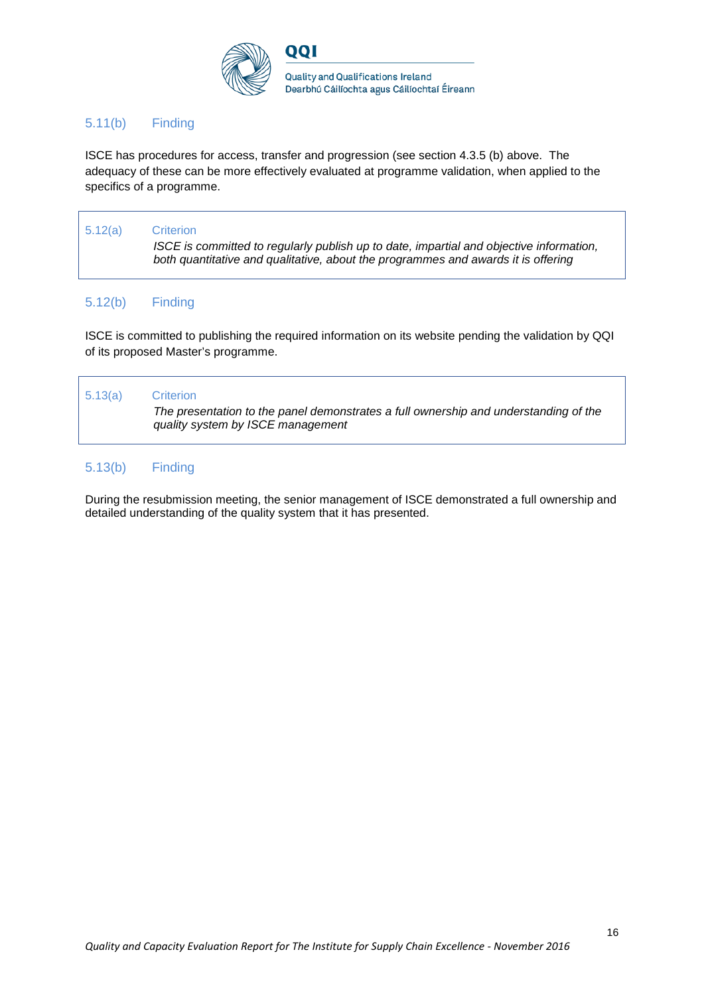

## 5.11(b) Finding

ISCE has procedures for access, transfer and progression (see section 4.3.5 (b) above. The adequacy of these can be more effectively evaluated at programme validation, when applied to the specifics of a programme.

## 5.12(a) Criterion *ISCE is committed to regularly publish up to date, impartial and objective information, both quantitative and qualitative, about the programmes and awards it is offering*

## 5.12(b) Finding

ISCE is committed to publishing the required information on its website pending the validation by QQI of its proposed Master's programme.

# 5.13(a) Criterion *The presentation to the panel demonstrates a full ownership and understanding of the quality system by ISCE management*

## 5.13(b) Finding

During the resubmission meeting, the senior management of ISCE demonstrated a full ownership and detailed understanding of the quality system that it has presented.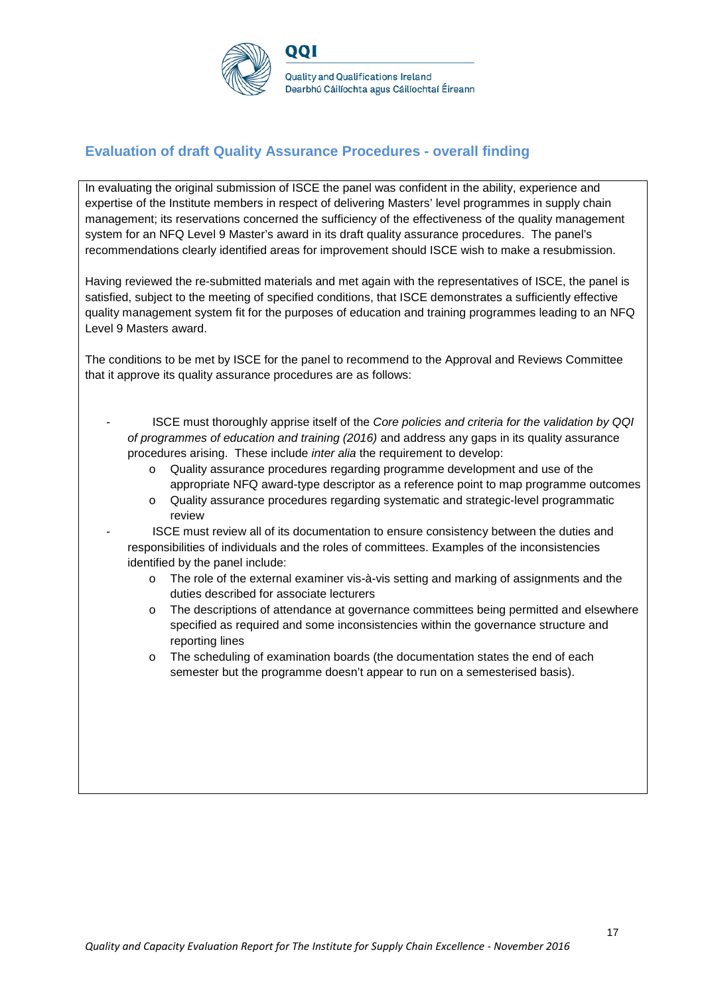

## **Evaluation of draft Quality Assurance Procedures - overall finding**

In evaluating the original submission of ISCE the panel was confident in the ability, experience and expertise of the Institute members in respect of delivering Masters' level programmes in supply chain management; its reservations concerned the sufficiency of the effectiveness of the quality management system for an NFQ Level 9 Master's award in its draft quality assurance procedures. The panel's recommendations clearly identified areas for improvement should ISCE wish to make a resubmission.

Having reviewed the re-submitted materials and met again with the representatives of ISCE, the panel is satisfied, subject to the meeting of specified conditions, that ISCE demonstrates a sufficiently effective quality management system fit for the purposes of education and training programmes leading to an NFQ Level 9 Masters award.

The conditions to be met by ISCE for the panel to recommend to the Approval and Reviews Committee that it approve its quality assurance procedures are as follows:

- ISCE must thoroughly apprise itself of the *Core policies and criteria for the validation by QQI of programmes of education and training (2016)* and address any gaps in its quality assurance procedures arising. These include *inter alia* the requirement to develop:
	- o Quality assurance procedures regarding programme development and use of the appropriate NFQ award-type descriptor as a reference point to map programme outcomes
	- o Quality assurance procedures regarding systematic and strategic-level programmatic review
	- ISCE must review all of its documentation to ensure consistency between the duties and responsibilities of individuals and the roles of committees. Examples of the inconsistencies identified by the panel include:
		- o The role of the external examiner vis-à-vis setting and marking of assignments and the duties described for associate lecturers
		- o The descriptions of attendance at governance committees being permitted and elsewhere specified as required and some inconsistencies within the governance structure and reporting lines
		- o The scheduling of examination boards (the documentation states the end of each semester but the programme doesn't appear to run on a semesterised basis).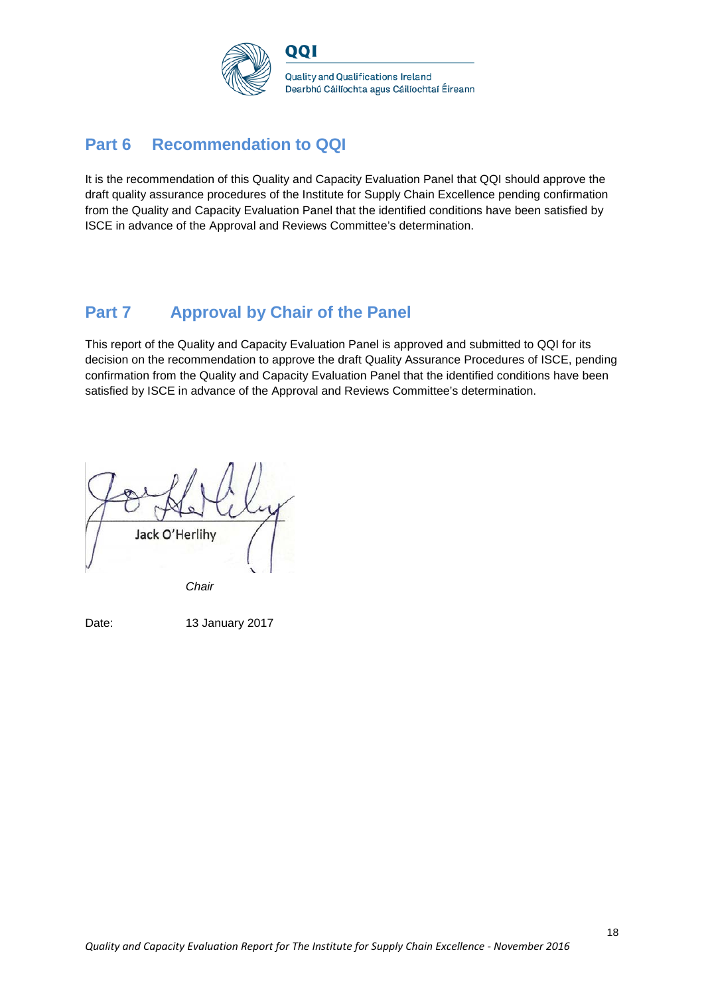

# **Part 6 Recommendation to QQI**

It is the recommendation of this Quality and Capacity Evaluation Panel that QQI should approve the draft quality assurance procedures of the Institute for Supply Chain Excellence pending confirmation from the Quality and Capacity Evaluation Panel that the identified conditions have been satisfied by ISCE in advance of the Approval and Reviews Committee's determination.

# **Part 7 Approval by Chair of the Panel**

This report of the Quality and Capacity Evaluation Panel is approved and submitted to QQI for its decision on the recommendation to approve the draft Quality Assurance Procedures of ISCE, pending confirmation from the Quality and Capacity Evaluation Panel that the identified conditions have been satisfied by ISCE in advance of the Approval and Reviews Committee's determination.

Jack O'Herlihy

*Chair*

Date: 13 January 2017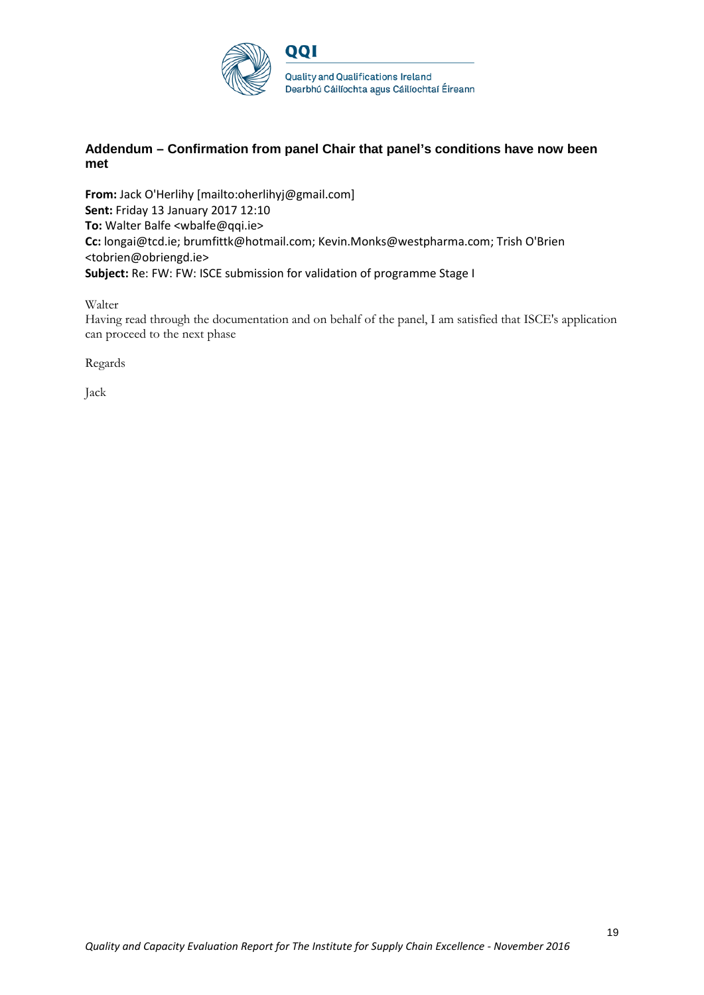

### **Addendum – Confirmation from panel Chair that panel's conditions have now been met**

**From:** Jack O'Herlihy [mailto:oherlihyj@gmail.com] **Sent:** Friday 13 January 2017 12:10 **To:** Walter Balfe <wbalfe@qqi.ie> **Cc:** longai@tcd.ie; brumfittk@hotmail.com; Kevin.Monks@westpharma.com; Trish O'Brien <tobrien@obriengd.ie> **Subject:** Re: FW: FW: ISCE submission for validation of programme Stage I

#### Walter

Having read through the documentation and on behalf of the panel, I am satisfied that ISCE's application can proceed to the next phase

Regards

Jack